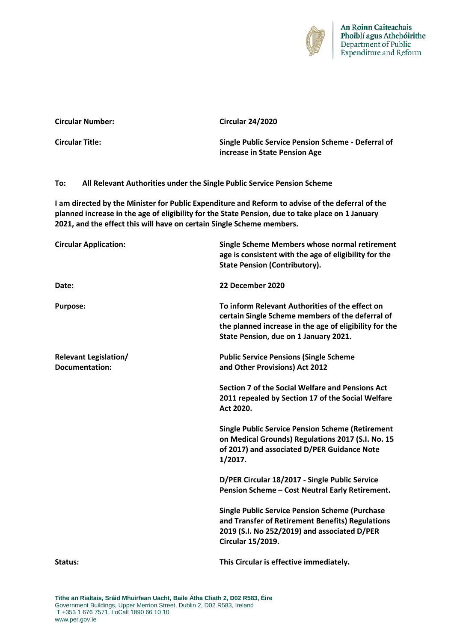

|                                                       |                                                                         | increase in State Pension Age                                                                                                                                                                                                                                                 |
|-------------------------------------------------------|-------------------------------------------------------------------------|-------------------------------------------------------------------------------------------------------------------------------------------------------------------------------------------------------------------------------------------------------------------------------|
| To:                                                   | All Relevant Authorities under the Single Public Service Pension Scheme |                                                                                                                                                                                                                                                                               |
|                                                       |                                                                         | I am directed by the Minister for Public Expenditure and Reform to advise of the deferral of the<br>planned increase in the age of eligibility for the State Pension, due to take place on 1 January<br>2021, and the effect this will have on certain Single Scheme members. |
| <b>Circular Application:</b>                          |                                                                         | Single Scheme Members whose normal retirement<br>age is consistent with the age of eligibility for the<br><b>State Pension (Contributory).</b>                                                                                                                                |
| Date:                                                 |                                                                         | 22 December 2020                                                                                                                                                                                                                                                              |
| <b>Purpose:</b>                                       |                                                                         | To inform Relevant Authorities of the effect on<br>certain Single Scheme members of the deferral of<br>the planned increase in the age of eligibility for the<br>State Pension, due on 1 January 2021.                                                                        |
| <b>Relevant Legislation/</b><br><b>Documentation:</b> |                                                                         | <b>Public Service Pensions (Single Scheme</b><br>and Other Provisions) Act 2012                                                                                                                                                                                               |
|                                                       |                                                                         | Section 7 of the Social Welfare and Pensions Act<br>2011 repealed by Section 17 of the Social Welfare<br>Act 2020.                                                                                                                                                            |
|                                                       |                                                                         | <b>Single Public Service Pension Scheme (Retirement</b><br>on Medical Grounds) Regulations 2017 (S.I. No. 15<br>of 2017) and associated D/PER Guidance Note<br>1/2017.                                                                                                        |
|                                                       |                                                                         | D/PER Circular 18/2017 - Single Public Service<br>Pension Scheme - Cost Neutral Early Retirement.                                                                                                                                                                             |
|                                                       |                                                                         | <b>Single Public Service Pension Scheme (Purchase</b><br>and Transfer of Retirement Benefits) Regulations<br>2019 (S.I. No 252/2019) and associated D/PER<br><b>Circular 15/2019.</b>                                                                                         |
| Status:                                               |                                                                         | This Circular is effective immediately.                                                                                                                                                                                                                                       |
|                                                       |                                                                         |                                                                                                                                                                                                                                                                               |

**Circular Title: Single Public Service Pension Scheme - Deferral of** 

**Tithe an Rialtais, Sráid Mhuirfean Uacht, Baile Átha Cliath 2, D02 R583, Éire** Government Buildings, Upper Merrion Street, Dublin 2, D02 R583, Ireland T +353 1 676 7571 LoCall 1890 66 10 10 [www.per.gov.ie](http://www.per.gov.ie/)

**Circular Number: Circular 24/2020**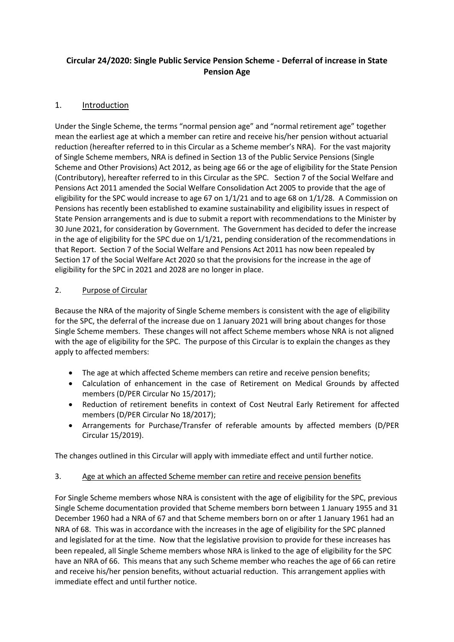# **Circular 24/2020: Single Public Service Pension Scheme - Deferral of increase in State Pension Age**

# 1. Introduction

Under the Single Scheme, the terms "normal pension age" and "normal retirement age" together mean the earliest age at which a member can retire and receive his/her pension without actuarial reduction (hereafter referred to in this Circular as a Scheme member's NRA). For the vast majority of Single Scheme members, NRA is defined in Section 13 of the Public Service Pensions (Single Scheme and Other Provisions) Act 2012, as being age 66 or the age of eligibility for the State Pension (Contributory), hereafter referred to in this Circular as the SPC. Section 7 of the Social Welfare and Pensions Act 2011 amended the Social Welfare Consolidation Act 2005 to provide that the age of eligibility for the SPC would increase to age 67 on 1/1/21 and to age 68 on 1/1/28. A Commission on Pensions has recently been established to examine sustainability and eligibility issues in respect of State Pension arrangements and is due to submit a report with recommendations to the Minister by 30 June 2021, for consideration by Government. The Government has decided to defer the increase in the age of eligibility for the SPC due on 1/1/21, pending consideration of the recommendations in that Report. Section 7 of the Social Welfare and Pensions Act 2011 has now been repealed by Section 17 of the Social Welfare Act 2020 so that the provisions for the increase in the age of eligibility for the SPC in 2021 and 2028 are no longer in place.

# 2. Purpose of Circular

Because the NRA of the majority of Single Scheme members is consistent with the age of eligibility for the SPC, the deferral of the increase due on 1 January 2021 will bring about changes for those Single Scheme members. These changes will not affect Scheme members whose NRA is not aligned with the age of eligibility for the SPC. The purpose of this Circular is to explain the changes as they apply to affected members:

- The age at which affected Scheme members can retire and receive pension benefits;
- Calculation of enhancement in the case of Retirement on Medical Grounds by affected members (D/PER Circular No 15/2017);
- Reduction of retirement benefits in context of Cost Neutral Early Retirement for affected members (D/PER Circular No 18/2017);
- Arrangements for Purchase/Transfer of referable amounts by affected members (D/PER Circular 15/2019).

The changes outlined in this Circular will apply with immediate effect and until further notice.

# 3. Age at which an affected Scheme member can retire and receive pension benefits

For Single Scheme members whose NRA is consistent with the age of eligibility for the SPC, previous Single Scheme documentation provided that Scheme members born between 1 January 1955 and 31 December 1960 had a NRA of 67 and that Scheme members born on or after 1 January 1961 had an NRA of 68. This was in accordance with the increases in the age of eligibility for the SPC planned and legislated for at the time. Now that the legislative provision to provide for these increases has been repealed, all Single Scheme members whose NRA is linked to the age of eligibility for the SPC have an NRA of 66. This means that any such Scheme member who reaches the age of 66 can retire and receive his/her pension benefits, without actuarial reduction. This arrangement applies with immediate effect and until further notice.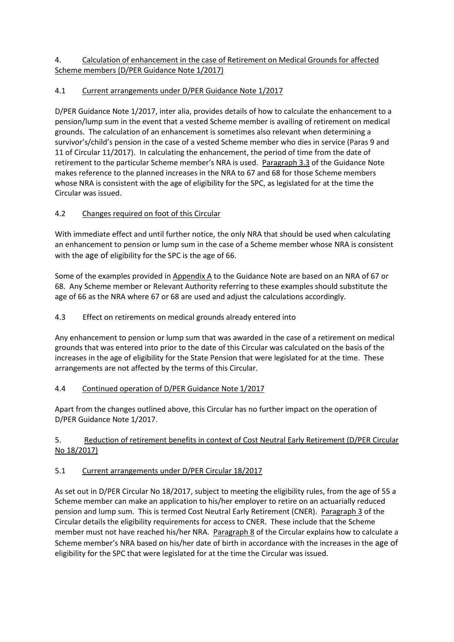# 4. Calculation of enhancement in the case of Retirement on Medical Grounds for affected Scheme members (D/PER Guidance Note 1/2017)

# 4.1 Current arrangements under D/PER Guidance Note 1/2017

D/PER Guidance Note 1/2017, inter alia, provides details of how to calculate the enhancement to a pension/lump sum in the event that a vested Scheme member is availing of retirement on medical grounds. The calculation of an enhancement is sometimes also relevant when determining a survivor's/child's pension in the case of a vested Scheme member who dies in service (Paras 9 and 11 of Circular 11/2017). In calculating the enhancement, the period of time from the date of retirement to the particular Scheme member's NRA is used. Paragraph 3.3 of the Guidance Note makes reference to the planned increases in the NRA to 67 and 68 for those Scheme members whose NRA is consistent with the age of eligibility for the SPC, as legislated for at the time the Circular was issued.

# 4.2 Changes required on foot of this Circular

With immediate effect and until further notice, the only NRA that should be used when calculating an enhancement to pension or lump sum in the case of a Scheme member whose NRA is consistent with the age of eligibility for the SPC is the age of 66.

Some of the examples provided in Appendix A to the Guidance Note are based on an NRA of 67 or 68. Any Scheme member or Relevant Authority referring to these examples should substitute the age of 66 as the NRA where 67 or 68 are used and adjust the calculations accordingly.

# 4.3 Effect on retirements on medical grounds already entered into

Any enhancement to pension or lump sum that was awarded in the case of a retirement on medical grounds that was entered into prior to the date of this Circular was calculated on the basis of the increases in the age of eligibility for the State Pension that were legislated for at the time. These arrangements are not affected by the terms of this Circular.

## 4.4 Continued operation of D/PER Guidance Note 1/2017

Apart from the changes outlined above, this Circular has no further impact on the operation of D/PER Guidance Note 1/2017.

# 5. Reduction of retirement benefits in context of Cost Neutral Early Retirement (D/PER Circular No 18/2017)

## 5.1 Current arrangements under D/PER Circular 18/2017

As set out in D/PER Circular No 18/2017, subject to meeting the eligibility rules, from the age of 55 a Scheme member can make an application to his/her employer to retire on an actuarially reduced pension and lump sum. This is termed Cost Neutral Early Retirement (CNER). Paragraph 3 of the Circular details the eligibility requirements for access to CNER. These include that the Scheme member must not have reached his/her NRA. Paragraph 8 of the Circular explains how to calculate a Scheme member's NRA based on his/her date of birth in accordance with the increases in the age of eligibility for the SPC that were legislated for at the time the Circular was issued.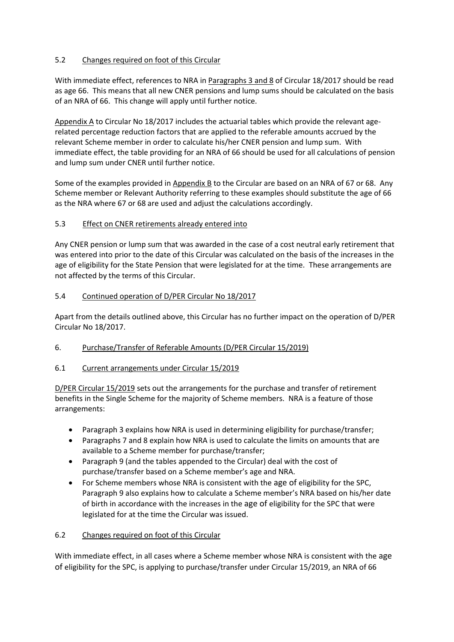## 5.2 Changes required on foot of this Circular

With immediate effect, references to NRA in Paragraphs 3 and 8 of Circular 18/2017 should be read as age 66. This means that all new CNER pensions and lump sums should be calculated on the basis of an NRA of 66. This change will apply until further notice.

Appendix A to Circular No 18/2017 includes the actuarial tables which provide the relevant agerelated percentage reduction factors that are applied to the referable amounts accrued by the relevant Scheme member in order to calculate his/her CNER pension and lump sum. With immediate effect, the table providing for an NRA of 66 should be used for all calculations of pension and lump sum under CNER until further notice.

Some of the examples provided in Appendix B to the Circular are based on an NRA of 67 or 68. Any Scheme member or Relevant Authority referring to these examples should substitute the age of 66 as the NRA where 67 or 68 are used and adjust the calculations accordingly.

# 5.3 Effect on CNER retirements already entered into

Any CNER pension or lump sum that was awarded in the case of a cost neutral early retirement that was entered into prior to the date of this Circular was calculated on the basis of the increases in the age of eligibility for the State Pension that were legislated for at the time. These arrangements are not affected by the terms of this Circular.

## 5.4 Continued operation of D/PER Circular No 18/2017

Apart from the details outlined above, this Circular has no further impact on the operation of D/PER Circular No 18/2017.

## 6. Purchase/Transfer of Referable Amounts (D/PER Circular 15/2019)

## 6.1 Current arrangements under Circular 15/2019

D/PER Circular 15/2019 sets out the arrangements for the purchase and transfer of retirement benefits in the Single Scheme for the majority of Scheme members. NRA is a feature of those arrangements:

- Paragraph 3 explains how NRA is used in determining eligibility for purchase/transfer;
- Paragraphs 7 and 8 explain how NRA is used to calculate the limits on amounts that are available to a Scheme member for purchase/transfer;
- Paragraph 9 (and the tables appended to the Circular) deal with the cost of purchase/transfer based on a Scheme member's age and NRA.
- For Scheme members whose NRA is consistent with the age of eligibility for the SPC, Paragraph 9 also explains how to calculate a Scheme member's NRA based on his/her date of birth in accordance with the increases in the age of eligibility for the SPC that were legislated for at the time the Circular was issued.

## 6.2 Changes required on foot of this Circular

With immediate effect, in all cases where a Scheme member whose NRA is consistent with the age of eligibility for the SPC, is applying to purchase/transfer under Circular 15/2019, an NRA of 66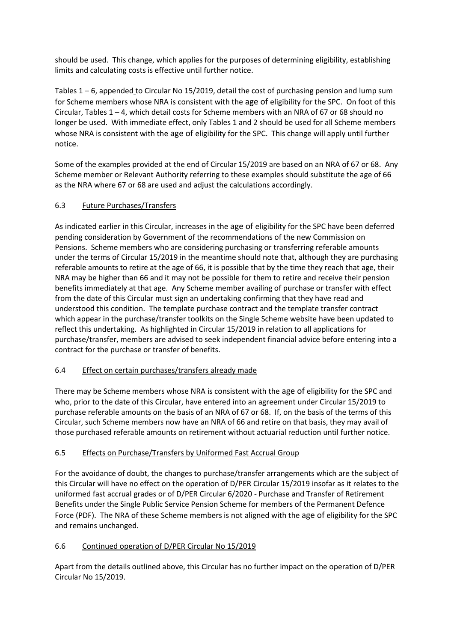should be used. This change, which applies for the purposes of determining eligibility, establishing limits and calculating costs is effective until further notice.

Tables 1 – 6, appended to Circular No 15/2019, detail the cost of purchasing pension and lump sum for Scheme members whose NRA is consistent with the age of eligibility for the SPC. On foot of this Circular, Tables 1 – 4, which detail costs for Scheme members with an NRA of 67 or 68 should no longer be used. With immediate effect, only Tables 1 and 2 should be used for all Scheme members whose NRA is consistent with the age of eligibility for the SPC. This change will apply until further notice.

Some of the examples provided at the end of Circular 15/2019 are based on an NRA of 67 or 68. Any Scheme member or Relevant Authority referring to these examples should substitute the age of 66 as the NRA where 67 or 68 are used and adjust the calculations accordingly.

# 6.3 Future Purchases/Transfers

As indicated earlier in this Circular, increases in the age of eligibility for the SPC have been deferred pending consideration by Government of the recommendations of the new Commission on Pensions. Scheme members who are considering purchasing or transferring referable amounts under the terms of Circular 15/2019 in the meantime should note that, although they are purchasing referable amounts to retire at the age of 66, it is possible that by the time they reach that age, their NRA may be higher than 66 and it may not be possible for them to retire and receive their pension benefits immediately at that age. Any Scheme member availing of purchase or transfer with effect from the date of this Circular must sign an undertaking confirming that they have read and understood this condition. The template purchase contract and the template transfer contract which appear in the purchase/transfer toolkits on the Single Scheme website have been updated to reflect this undertaking. As highlighted in Circular 15/2019 in relation to all applications for purchase/transfer, members are advised to seek independent financial advice before entering into a contract for the purchase or transfer of benefits.

## 6.4 Effect on certain purchases/transfers already made

There may be Scheme members whose NRA is consistent with the age of eligibility for the SPC and who, prior to the date of this Circular, have entered into an agreement under Circular 15/2019 to purchase referable amounts on the basis of an NRA of 67 or 68. If, on the basis of the terms of this Circular, such Scheme members now have an NRA of 66 and retire on that basis, they may avail of those purchased referable amounts on retirement without actuarial reduction until further notice.

# 6.5 Effects on Purchase/Transfers by Uniformed Fast Accrual Group

For the avoidance of doubt, the changes to purchase/transfer arrangements which are the subject of this Circular will have no effect on the operation of D/PER Circular 15/2019 insofar as it relates to the uniformed fast accrual grades or of D/PER Circular 6/2020 - Purchase and Transfer of Retirement Benefits under the Single Public Service Pension Scheme for members of the Permanent Defence Force (PDF). The NRA of these Scheme members is not aligned with the age of eligibility for the SPC and remains unchanged.

## 6.6 Continued operation of D/PER Circular No 15/2019

Apart from the details outlined above, this Circular has no further impact on the operation of D/PER Circular No 15/2019.